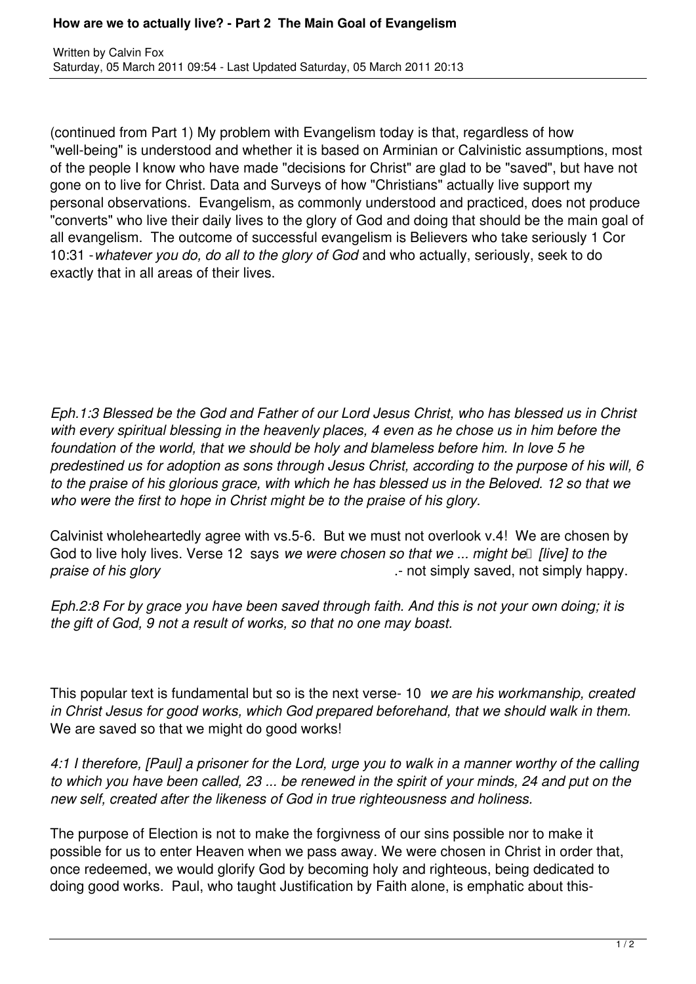## **How are we to actually live? - Part 2 The Main Goal of Evangelism**

(continued from Part 1) My problem with Evangelism today is that, regardless of how "well-being" is understood and whether it is based on Arminian or Calvinistic assumptions, most of the people I know who have made "decisions for Christ" are glad to be "saved", but have not gone on to live for Christ. Data and Surveys of how "Christians" actually live support my personal observations. Evangelism, as commonly understood and practiced, does not produce "converts" who live their daily lives to the glory of God and doing that should be the main goal of all evangelism. The outcome of successful evangelism is Believers who take seriously 1 Cor 10:31 -*whatever you do, do all to the glory of God* and who actually, seriously, seek to do exactly that in all areas of their lives.

*Eph.1:3 Blessed be the God and Father of our Lord Jesus Christ, who has blessed us in Christ with every spiritual blessing in the heavenly places, 4 even as he chose us in him before the foundation of the world, that we should be holy and blameless before him. In love 5 he predestined us for adoption as sons through Jesus Christ, according to the purpose of his will, 6 to the praise of his glorious grace, with which he has blessed us in the Beloved. 12 so that we who were the first to hope in Christ might be to the praise of his glory.*

Calvinist wholeheartedly agree with vs.5-6. But we must not overlook v.4! We are chosen by God to live holy lives. Verse 12 says *we were chosen so that we ... might be* [*live] to the praise of his glory praise of his glory praise of his glory praise of his glory*.

*Eph.2:8 For by grace you have been saved through faith. And this is not your own doing; it is the gift of God, 9 not a result of works, so that no one may boast.* 

This popular text is fundamental but so is the next verse- 10 *we are his workmanship, created in Christ Jesus for good works, which God prepared beforehand, that we should walk in them.*  We are saved so that we might do good works!

*4:1 I therefore, [Paul] a prisoner for the Lord, urge you to walk in a manner worthy of the calling to which you have been called, 23 ... be renewed in the spirit of your minds, 24 and put on the new self, created after the likeness of God in true righteousness and holiness.*

The purpose of Election is not to make the forgivness of our sins possible nor to make it possible for us to enter Heaven when we pass away. We were chosen in Christ in order that, once redeemed, we would glorify God by becoming holy and righteous, being dedicated to doing good works. Paul, who taught Justification by Faith alone, is emphatic about this-